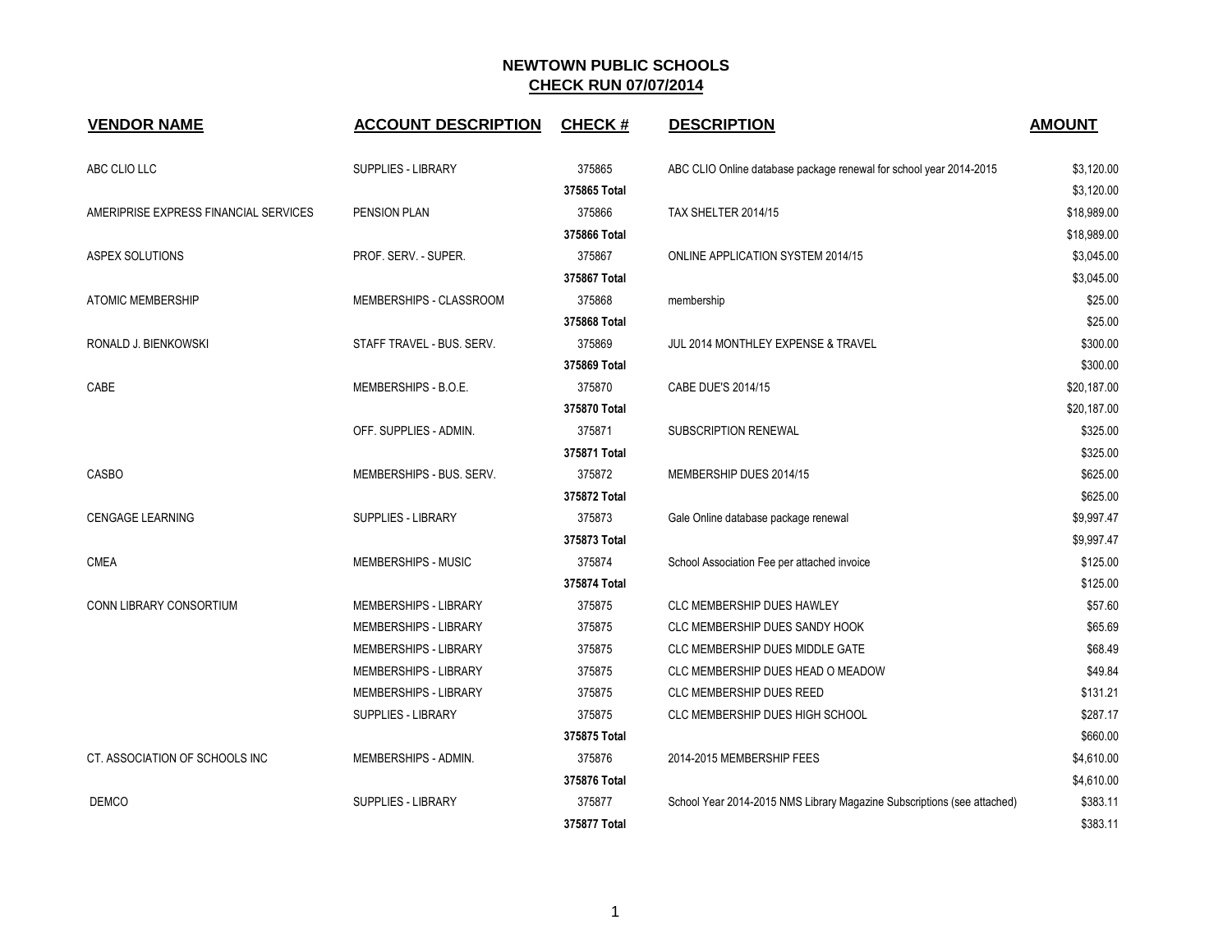## **NEWTOWN PUBLIC SCHOOLS CHECK RUN 07/07/2014**

| <b>VENDOR NAME</b>                                                          | <b>ACCOUNT DESCRIPTION</b>   | CHECK#       | <b>DESCRIPTION</b>                                                      | <b>AMOUNT</b> |
|-----------------------------------------------------------------------------|------------------------------|--------------|-------------------------------------------------------------------------|---------------|
| ABC CLIO LLC                                                                | <b>SUPPLIES - LIBRARY</b>    | 375865       | ABC CLIO Online database package renewal for school year 2014-2015      | \$3,120.00    |
|                                                                             |                              | 375865 Total |                                                                         | \$3,120.00    |
| AMERIPRISE EXPRESS FINANCIAL SERVICES                                       | PENSION PLAN                 | 375866       | TAX SHELTER 2014/15                                                     | \$18,989.00   |
|                                                                             |                              | 375866 Total |                                                                         | \$18,989.00   |
| ASPEX SOLUTIONS<br><b>ATOMIC MEMBERSHIP</b><br>RONALD J. BIENKOWSKI<br>CABE | PROF. SERV. - SUPER.         | 375867       | ONLINE APPLICATION SYSTEM 2014/15                                       | \$3,045.00    |
|                                                                             |                              | 375867 Total |                                                                         | \$3,045.00    |
|                                                                             | MEMBERSHIPS - CLASSROOM      | 375868       | membership                                                              | \$25.00       |
|                                                                             |                              | 375868 Total |                                                                         | \$25.00       |
|                                                                             | STAFF TRAVEL - BUS. SERV.    | 375869       | JUL 2014 MONTHLEY EXPENSE & TRAVEL                                      | \$300.00      |
|                                                                             |                              | 375869 Total |                                                                         | \$300.00      |
|                                                                             | MEMBERSHIPS - B.O.E.         | 375870       | CABE DUE'S 2014/15                                                      | \$20,187.00   |
|                                                                             |                              | 375870 Total |                                                                         | \$20,187.00   |
|                                                                             | OFF. SUPPLIES - ADMIN.       | 375871       | SUBSCRIPTION RENEWAL                                                    | \$325.00      |
|                                                                             |                              | 375871 Total |                                                                         | \$325.00      |
| CASBO                                                                       | MEMBERSHIPS - BUS. SERV.     | 375872       | MEMBERSHIP DUES 2014/15                                                 | \$625.00      |
|                                                                             |                              | 375872 Total |                                                                         | \$625.00      |
| <b>CENGAGE LEARNING</b>                                                     | <b>SUPPLIES - LIBRARY</b>    | 375873       | Gale Online database package renewal                                    | \$9,997.47    |
|                                                                             |                              | 375873 Total |                                                                         | \$9,997.47    |
| <b>CMEA</b>                                                                 | MEMBERSHIPS - MUSIC          | 375874       | School Association Fee per attached invoice                             | \$125.00      |
|                                                                             |                              | 375874 Total |                                                                         | \$125.00      |
| <b>CONN LIBRARY CONSORTIUM</b>                                              | <b>MEMBERSHIPS - LIBRARY</b> | 375875       | <b>CLC MEMBERSHIP DUES HAWLEY</b>                                       | \$57.60       |
|                                                                             | MEMBERSHIPS - LIBRARY        | 375875       | CLC MEMBERSHIP DUES SANDY HOOK                                          | \$65.69       |
|                                                                             | MEMBERSHIPS - LIBRARY        | 375875       | <b>CLC MEMBERSHIP DUES MIDDLE GATE</b>                                  | \$68.49       |
|                                                                             | MEMBERSHIPS - LIBRARY        | 375875       | CLC MEMBERSHIP DUES HEAD O MEADOW                                       | \$49.84       |
|                                                                             | <b>MEMBERSHIPS - LIBRARY</b> | 375875       | CLC MEMBERSHIP DUES REED                                                | \$131.21      |
|                                                                             | SUPPLIES - LIBRARY           | 375875       | CLC MEMBERSHIP DUES HIGH SCHOOL                                         | \$287.17      |
|                                                                             |                              | 375875 Total |                                                                         | \$660.00      |
| CT. ASSOCIATION OF SCHOOLS INC                                              | MEMBERSHIPS - ADMIN.         | 375876       | 2014-2015 MEMBERSHIP FEES                                               | \$4,610.00    |
|                                                                             |                              | 375876 Total |                                                                         | \$4,610.00    |
| <b>DEMCO</b>                                                                | <b>SUPPLIES - LIBRARY</b>    | 375877       | School Year 2014-2015 NMS Library Magazine Subscriptions (see attached) | \$383.11      |
|                                                                             |                              | 375877 Total |                                                                         | \$383.11      |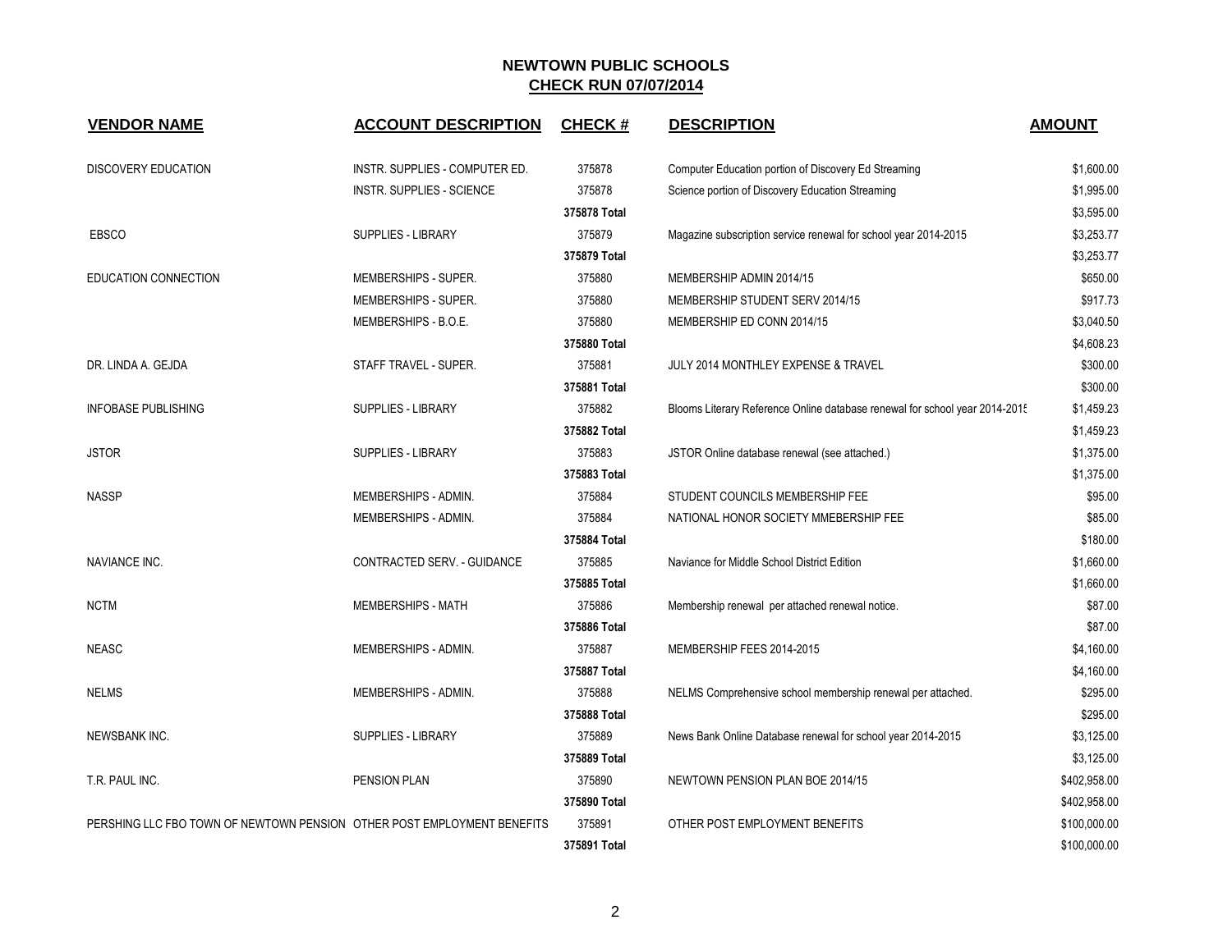## **NEWTOWN PUBLIC SCHOOLS CHECK RUN 07/07/2014**

| <b>VENDOR NAME</b>                                                      | <b>ACCOUNT DESCRIPTION</b>     | <b>CHECK#</b> | <b>DESCRIPTION</b>                                                          | <b>AMOUNT</b> |
|-------------------------------------------------------------------------|--------------------------------|---------------|-----------------------------------------------------------------------------|---------------|
| DISCOVERY EDUCATION                                                     | INSTR. SUPPLIES - COMPUTER ED. | 375878        | Computer Education portion of Discovery Ed Streaming                        | \$1,600.00    |
|                                                                         | INSTR. SUPPLIES - SCIENCE      | 375878        | Science portion of Discovery Education Streaming                            | \$1,995.00    |
|                                                                         |                                | 375878 Total  |                                                                             | \$3,595.00    |
| <b>EBSCO</b>                                                            | <b>SUPPLIES - LIBRARY</b>      | 375879        | Magazine subscription service renewal for school year 2014-2015             | \$3,253.77    |
|                                                                         |                                | 375879 Total  |                                                                             | \$3,253.77    |
| EDUCATION CONNECTION                                                    | MEMBERSHIPS - SUPER.           | 375880        | MEMBERSHIP ADMIN 2014/15                                                    | \$650.00      |
|                                                                         | MEMBERSHIPS - SUPER.           | 375880        | MEMBERSHIP STUDENT SERV 2014/15                                             | \$917.73      |
|                                                                         | MEMBERSHIPS - B.O.E.           | 375880        | MEMBERSHIP ED CONN 2014/15                                                  | \$3,040.50    |
|                                                                         |                                | 375880 Total  |                                                                             | \$4,608.23    |
| DR. LINDA A. GEJDA                                                      | STAFF TRAVEL - SUPER.          | 375881        | JULY 2014 MONTHLEY EXPENSE & TRAVEL                                         | \$300.00      |
|                                                                         |                                | 375881 Total  |                                                                             | \$300.00      |
| <b>INFOBASE PUBLISHING</b>                                              | SUPPLIES - LIBRARY             | 375882        | Blooms Literary Reference Online database renewal for school year 2014-2015 | \$1,459.23    |
|                                                                         |                                | 375882 Total  |                                                                             | \$1,459.23    |
| <b>JSTOR</b>                                                            | <b>SUPPLIES - LIBRARY</b>      | 375883        | JSTOR Online database renewal (see attached.)                               | \$1,375.00    |
|                                                                         |                                | 375883 Total  |                                                                             | \$1,375.00    |
| <b>NASSP</b>                                                            | MEMBERSHIPS - ADMIN.           | 375884        | STUDENT COUNCILS MEMBERSHIP FEE                                             | \$95.00       |
|                                                                         | MEMBERSHIPS - ADMIN.           | 375884        | NATIONAL HONOR SOCIETY MMEBERSHIP FEE                                       | \$85.00       |
|                                                                         |                                | 375884 Total  |                                                                             | \$180.00      |
| <b>NAVIANCE INC.</b>                                                    | CONTRACTED SERV. - GUIDANCE    | 375885        | Naviance for Middle School District Edition                                 | \$1,660.00    |
|                                                                         |                                | 375885 Total  |                                                                             | \$1,660.00    |
| <b>NCTM</b>                                                             | <b>MEMBERSHIPS - MATH</b>      | 375886        | Membership renewal per attached renewal notice.                             | \$87.00       |
|                                                                         |                                | 375886 Total  |                                                                             | \$87.00       |
| <b>NEASC</b>                                                            | MEMBERSHIPS - ADMIN.           | 375887        | MEMBERSHIP FEES 2014-2015                                                   | \$4,160.00    |
|                                                                         |                                | 375887 Total  |                                                                             | \$4,160.00    |
| <b>NELMS</b>                                                            | MEMBERSHIPS - ADMIN.           | 375888        | NELMS Comprehensive school membership renewal per attached.                 | \$295.00      |
|                                                                         |                                | 375888 Total  |                                                                             | \$295.00      |
| <b>NEWSBANK INC.</b>                                                    | <b>SUPPLIES - LIBRARY</b>      | 375889        | News Bank Online Database renewal for school year 2014-2015                 | \$3,125.00    |
|                                                                         |                                | 375889 Total  |                                                                             | \$3,125.00    |
| T.R. PAUL INC.                                                          | <b>PENSION PLAN</b>            | 375890        | NEWTOWN PENSION PLAN BOE 2014/15                                            | \$402,958.00  |
|                                                                         |                                | 375890 Total  |                                                                             | \$402,958.00  |
| PERSHING LLC FBO TOWN OF NEWTOWN PENSION OTHER POST EMPLOYMENT BENEFITS |                                | 375891        | OTHER POST EMPLOYMENT BENEFITS                                              | \$100,000.00  |
|                                                                         |                                | 375891 Total  |                                                                             | \$100,000.00  |